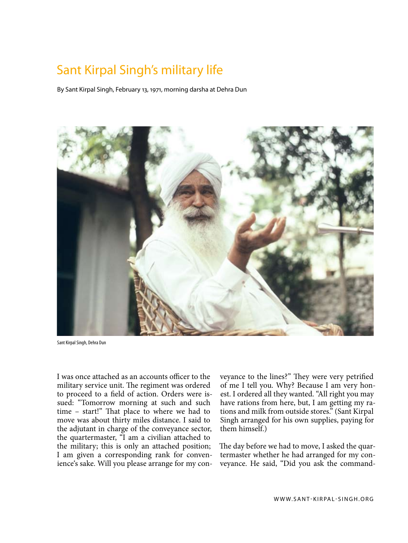## Sant Kirpal Singh's military life

By Sant Kirpal Singh, February 13, 1971, morning darsha at Dehra Dun



Sant Kirpal Singh, Dehra Dun

I was once attached as an accounts officer to the military service unit. The regiment was ordered to proceed to a field of action. Orders were issued: "Tomorrow morning at such and such time – start!" That place to where we had to move was about thirty miles distance. I said to the adjutant in charge of the conveyance sector, the quartermaster, "I am a civilian attached to the military; this is only an attached position; I am given a corresponding rank for convenience's sake. Will you please arrange for my conveyance to the lines?" They were very petrified of me I tell you. Why? Because I am very honest. I ordered all they wanted. "All right you may have rations from here, but, I am getting my rations and milk from outside stores." (Sant Kirpal Singh arranged for his own supplies, paying for them himself.)

The day before we had to move, I asked the quartermaster whether he had arranged for my conveyance. He said, "Did you ask the command-